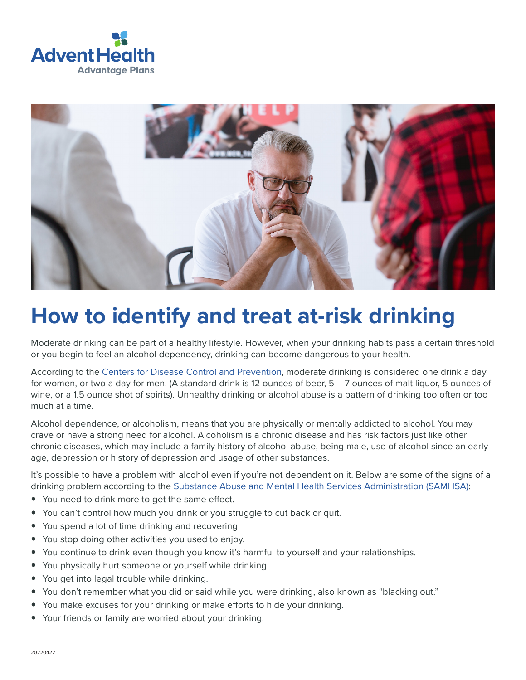



# **How to identify and treat at-risk drinking**

Moderate drinking can be part of a healthy lifestyle. However, when your drinking habits pass a certain threshold or you begin to feel an alcohol dependency, drinking can become dangerous to your health.

According to the [Centers for Disease Control and Prevention](https://www.cdc.gov/alcohol/fact-sheets/alcohol-use.htm), moderate drinking is considered one drink a day for women, or two a day for men. (A standard drink is 12 ounces of beer, 5 – 7 ounces of malt liquor, 5 ounces of wine, or a 1.5 ounce shot of spirits). Unhealthy drinking or alcohol abuse is a pattern of drinking too often or too much at a time.

Alcohol dependence, or alcoholism, means that you are physically or mentally addicted to alcohol. You may crave or have a strong need for alcohol. Alcoholism is a chronic disease and has risk factors just like other chronic diseases, which may include a family history of alcohol abuse, being male, use of alcohol since an early age, depression or history of depression and usage of other substances.

It's possible to have a problem with alcohol even if you're not dependent on it. Below are some of the signs of a drinking problem according to the [Substance Abuse and Mental Health Services Administration \(SAMHSA\):](https://www.samhsa.gov/sites/default/files/alcohol-use-facts-resources-fact-sheet.pdf)

- You need to drink more to get the same effect.
- You can't control how much you drink or you struggle to cut back or quit.
- You spend a lot of time drinking and recovering
- You stop doing other activities you used to enjoy.
- You continue to drink even though you know it's harmful to yourself and your relationships.
- You physically hurt someone or yourself while drinking.
- You get into legal trouble while drinking.
- You don't remember what you did or said while you were drinking, also known as "blacking out."
- You make excuses for your drinking or make efforts to hide your drinking.
- Your friends or family are worried about your drinking.